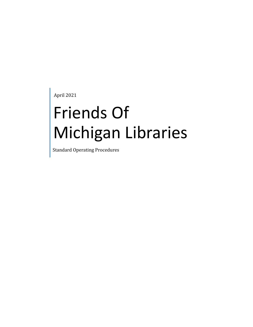April 2021

# Friends Of Michigan Libraries

Standard Operating Procedures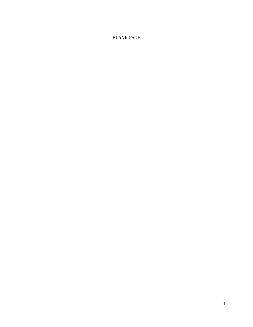# BLANK PAGE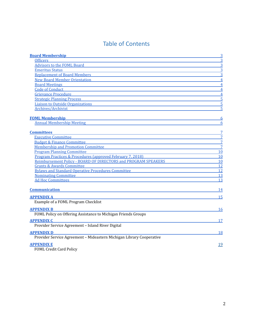# Table of Contents

| <b>Board Membership</b>                                                                                                                                   | 3              |
|-----------------------------------------------------------------------------------------------------------------------------------------------------------|----------------|
| <b>Officers</b>                                                                                                                                           | $\overline{3}$ |
| <b>Advisors to the FOML Board</b>                                                                                                                         | $\overline{3}$ |
| <b>Emeritus Status</b>                                                                                                                                    | 3              |
| <b>Replacement of Board Members</b>                                                                                                                       | $\overline{3}$ |
| <b>New Board Member Orientation</b>                                                                                                                       | $\overline{4}$ |
| <b>Board Meetings</b>                                                                                                                                     | $\overline{4}$ |
| <b>Code of Conduct</b>                                                                                                                                    | $\overline{4}$ |
| <b>Grievance Procedure</b><br>the control of the control of the control of the control of the control of the control of                                   | $\overline{4}$ |
| <b>Strategic Planning Process</b><br>the control of the control of the control of the control of the control of the control of                            | $\overline{5}$ |
| Liaison to Outside Organizations                                                                                                                          | $\overline{5}$ |
| <b>Archives/Archivist</b>                                                                                                                                 | $\overline{5}$ |
| <b>FOML Membership</b>                                                                                                                                    | 6              |
| <b>Annual Membership Meeting</b>                                                                                                                          | 6              |
|                                                                                                                                                           |                |
| <b>Committees</b>                                                                                                                                         |                |
| <b>Executive Committee</b>                                                                                                                                | $\overline{7}$ |
| <b>Budget &amp; Finance Committee</b><br>and the control of the control of the control of the control of the control of the control of the control of the | $\overline{z}$ |
| <b>Membership and Promotion Committee</b>                                                                                                                 | $\overline{7}$ |
| <b>Program Planning Committee</b>                                                                                                                         | 10             |
| Program Practices & Procedures (approved February 7, 2018)                                                                                                | 10             |
| Reimbursement Policy - BOARD OF DIRECTORS and PROGRAM SPEAKERS                                                                                            | 10             |
| <b>Grants &amp; Awards Committee</b>                                                                                                                      | 12             |
| <b>Bylaws and Standard Operative Procedures Committee</b>                                                                                                 | 12             |
| <b>Nominating Committee Discovery of the Committee</b>                                                                                                    | 13             |
| <b>Ad Hoc Committees</b>                                                                                                                                  | 13             |
| <b>Communication</b>                                                                                                                                      | 14             |
| <b>APPENDIX A</b>                                                                                                                                         | 15             |
| Example of a FOML Program Checklist                                                                                                                       |                |
| <b>APPENDIX B</b>                                                                                                                                         | 16             |
| FOML Policy on Offering Assistance to Michigan Friends Groups                                                                                             |                |
| <b>APPENDIX C</b>                                                                                                                                         | 17             |
| Provider Service Agreement - Island River Digital                                                                                                         |                |
| <b>APPENDIX D</b>                                                                                                                                         | 18             |
| Provider Service Agreement - Mideastern Michigan Library Cooperative                                                                                      |                |
| <b>APPENDIX E</b>                                                                                                                                         | <u> 19</u>     |
| <b>FOML Credit Card Policy</b>                                                                                                                            |                |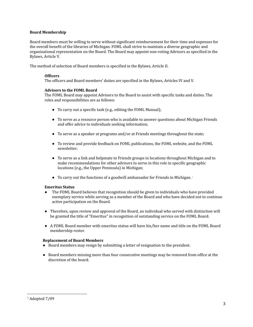# <span id="page-3-0"></span>**Board Membership**

Board members must be willing to serve without significant reimbursement for their time and expenses for the overall benefit of the libraries of Michigan. FOML shall strive to maintain a diverse geographic and organizational representation on the Board. The Board may appoint non-voting Advisors as specified in the Bylaws, Article V.

<span id="page-3-1"></span>The method of selection of Board members is specified in the Bylaws, Article II.

# **Officers**

The officers and Board members' duties are specified in the Bylaws, Articles IV and V.

#### <span id="page-3-2"></span>**Advisors to the FOML Board**

The FOML Board may appoint Advisors to the Board to assist with specific tasks and duties. The roles and responsibilities are as follows:

- To carry out a specific task (e.g., editing the FOML Manual);
- To serve as a resource person who is available to answer questions about Michigan Friends and offer advice to individuals seeking information;
- To serve as a speaker at programs and/or at Friends meetings throughout the state;
- To review and provide feedback on FOML publications, the FOML website, and the FOML newsletter;
- To serve as a link and helpmate to Friends groups in locations throughout Michigan and to make recommendations for other advisors to serve in this role in specific geographic locations (e.g., the Upper Peninsula) in Michigan;
- To carry out the functions of a goodwill ambassador for Friends in Michigan.<sup>1</sup>

#### <span id="page-3-3"></span>**Emeritus Status**

- The FOML Board believes that recognition should be given to individuals who have provided exemplary service while serving as a member of the Board and who have decided not to continue active participation on the Board.
- Therefore, upon review and approval of the Board, an individual who served with distinction will be granted the title of "Emeritus" in recognition of outstanding service on the FOML Board.
- A FOML Board member with emeritus status will have his/her name and title on the FOML Board membership roster.

#### <span id="page-3-4"></span>**Replacement of Board Members**

- Board members may resign by submitting a letter of resignation to the president.
- Board members missing more than four consecutive meetings may be removed from office at the discretion of the board.

 $1$  Adopted  $7/09$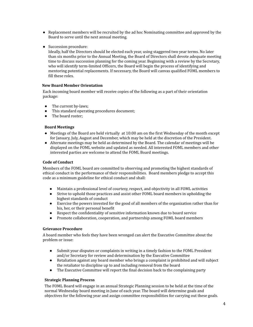- Replacement members will be recruited by the ad hoc Nominating committee and approved by the Board to serve until the next annual meeting.
- Succession procedure:

Ideally, half the Directors should be elected each year, using staggered two year terms. No later than six months prior to the Annual Meeting, the Board of Directors shall devote adequate meeting time to discuss succession planning for the coming year. Beginning with a review by the Secretary, who will identify term-limited Officers, the Board will begin the process of identifying and mentoring potential replacements. If necessary, the Board will canvas qualified FOML members to fill these roles.

#### <span id="page-4-0"></span>**New Board Member Orientation**

Each incoming board member will receive copies of the following as a part of their orientation package:

- The current by-laws;
- This standard operating procedures document;
- The board roster;

# <span id="page-4-1"></span>**Board Meetings**

- Meetings of the Board are held virtually at 10:00 am on the first Wednesday of the month except for January, July, August and December, which may be held at the discretion of the President.
- Alternate meetings may be held as determined by the Board. The calendar of meetings will be displayed on the FOML website and updated as needed. All interested FOML members and other interested parties are welcome to attend the FOML Board meetings.

#### <span id="page-4-2"></span>**Code of Conduct**

Members of the FOML board are committed to observing and promoting the highest standards of ethical conduct in the performance of their responsibilities. Board members pledge to accept this code as a minimum guideline for ethical conduct and shall:

- Maintain a professional level of courtesy, respect, and objectivity in all FOML activities
- Strive to uphold those practices and assist other FOML board members in upholding the highest standards of conduct
- Exercise the powers invested for the good of all members of the organization rather than for his, her, or their personal benefit
- Respect the confidentiality of sensitive information known due to board service
- Promote collaboration, cooperation, and partnership among FOML board members

#### <span id="page-4-3"></span>**Grievance Procedure**

A board member who feels they have been wronged can alert the Executive Committee about the problem or issue:

- Submit your disputes or complaints in writing in a timely fashion to the FOML President and/or Secretary for review and determination by the Executive Committee
- Retaliation against any board member who brings a complaint is prohibited and will subject the retaliator to discipline up to and including removal from the board
- The Executive Committee will report the final decision back to the complaining party

#### <span id="page-4-4"></span>**Strategic Planning Process**

The FOML Board will engage in an annual Strategic Planning session to be held at the time of the normal Wednesday board meeting in June of each year. The board will determine goals and objectives for the following year and assign committee responsibilities for carrying out these goals.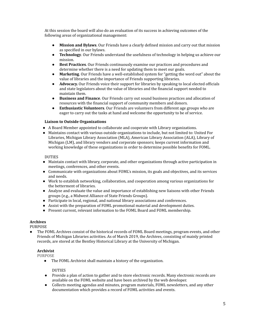At this session the board will also do an evaluation of its success in achieving outcomes of the following areas of organizational management:

- **Mission and Bylaws**. Our Friends have a clearly defined mission and carry out that mission as specified in our bylaws.
- **Technology**. Our Friends understand the usefulness of technology in helping us achieve our mission.
- **Best Practices**. Our Friends continuously examine our practices and procedures and determine whether there is a need for updating them to meet our goals.
- **Marketing**. Our Friends have a well-established system for "getting the word out" about the value of libraries and the importance of Friends supporting libraries.
- **Advocacy.** Our Friends voice their support for libraries by speaking to local elected officials and state legislators about the value of libraries and the financial support needed to maintain them.
- **Business and Finance**. Our Friends carry out sound business practices and allocation of resources with the financial support of community members and donors.
- **Enthusiastic Volunteers**. Our Friends are volunteers from different age groups who are eager to carry out the tasks at hand and welcome the opportunity to be of service.

# <span id="page-5-0"></span>**Liaison to Outside Organizations**

- A Board Member appointed to collaborate and cooperate with Library organizations.
- Maintains contact with various outside organizations to include, but not limited to: United For Libraries, Michigan Library Association (MLA), American Library Association (ALA), Library of Michigan (LM), and library vendors and corporate sponsors; keeps current information and working knowledge of these organizations in order to determine possible benefits for FOML.

# DUTIES

- Maintain contact with library, corporate, and other organizations through active participation in meetings, conferences, and other events.
- Communicate with organizations about FOML's mission, its goals and objectives, and its services and needs.
- Work to establish networking, collaboration, and cooperation among various organizations for the betterment of libraries.
- Analyze and evaluate the value and importance of establishing new liaisons with other Friends groups (e.g., a Midwest Alliance of State Friends Groups).
- Participate in local, regional, and national library associations and conferences.
- Assist with the preparation of FOML promotional material and development duties.
- Present current, relevant information to the FOML Board and FOML membership.

# <span id="page-5-1"></span>**Archives**

PURPOSE

The FOML Archives consist of the historical records of FOML Board meetings, program events, and other Friends of Michigan Libraries activities. As of March 2019, the Archives, consisting of mainly printed records, are stored at the Bentley Historical Library at the University of Michigan.

# **Archivist**

PURPOSE

● The FOML Archivist shall maintain a history of the organization.

#### DUTIES

- Provide a plan of action to gather and to store electronic records. Many electronic records are available on the FOML website and have been archived by the web developer.
- Collects meeting agendas and minutes, program materials, FOML newsletters, and any other documentation which provides a record of FOML activities and events.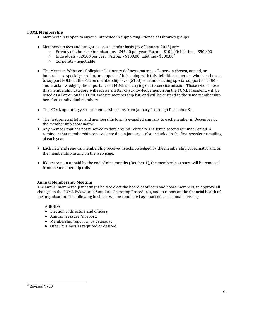# <span id="page-6-0"></span>**FOML Membership**

- Membership is open to anyone interested in supporting Friends of Libraries groups.
- Membership fees and categories on a calendar basis (as of January, 2015) are:
	- Friends of Libraries Organizations \$45.00 per year; Patron \$100.[0](#page-6-0)0; Lifetime \$500.00
	- $\circ$  Individuals \$20.00 per year; Patrons \$100.00; Lifetime \$500.00<sup>2</sup>
	- Corporate negotiable
- The Merriam-Webster's Collegiate Dictionary defines a patron as "a person chosen, named, or honored as a special guardian, or supporter." In keeping with this definition, a person who has chosen to support FOML at the Patron membership level (\$100) is demonstrating special support for FOML and is acknowledging the importance of FOML in carrying out its service mission. Those who choose this membership category will receive a letter of acknowledgement from the FOML President, will be listed as a Patron on the FOML website membership list, and will be entitled to the same membership benefits as individual members.
- The FOML operating year for membership runs from January 1 through December 31.
- The first renewal letter and membership form is e-mailed annually to each member in December by the membership coordinator.
- Any member that has not renewed to date around February 1 is sent a second reminder email. A reminder that membership renewals are due in January is also included in the first newsletter mailing of each year.
- Each new and renewal membership received is acknowledged by the membership coordinator and on the membership listing on the web page.
- If dues remain unpaid by the end of nine months (October 1), the member in arrears will be removed from the membership rolls.

#### <span id="page-6-1"></span>**Annual Membership Meeting**

The annual membership meeting is held to elect the board of officers and board members, to approve all changes to the FOML Bylaws and Standard Operating Procedures, and to report on the financial health of the organization. The following business will be conducted as a part of each annual meeting:

#### AGENDA

- Election of directors and officers:
- Annual Treasurer's report;
- Membership report(s) by category;
- Other business as required or desired.

 $2$  Revised 9/19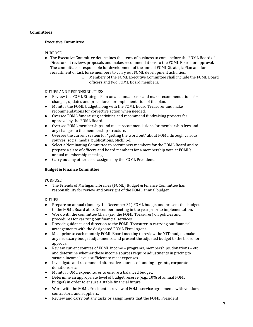# <span id="page-7-1"></span><span id="page-7-0"></span>**Committees**

# **Executive Committee**

#### PURPOSE

- The Executive Committee determines the items of business to come before the FOML Board of Directors. It reviews proposals and makes recommendations to the FOML Board for approval. The committee is responsible for development of the annual FOML Strategic Plan and for recruitment of task force members to carry out FOML development activities.
	- o Members of the FOML Executive Committee shall include the FOML Board officers and two FOML Board members.

# DUTIES AND RESPONSIBILITIES:

- Review the FOML Strategic Plan on an annual basis and make recommendations for changes, updates and procedures for implementation of the plan.
- Monitor the FOML budget along with the FOML Board Treasurer and make recommendations for corrective action when needed.
- Oversee FOML fundraising activities and recommend fundraising projects for approval by the FOML Board.
- Oversee FOML memberships and make recommendations for membership fees and any changes to the membership structure.
- Oversee the current system for "getting the word out" about FOML through various sources: social media, publications, Michlib-l.
- Select a Nominating Committee to recruit new members for the FOML Board and to prepare a slate of officers and board members for a membership vote at FOML's annual membership meeting.
- Carry out any other tasks assigned by the FOML President.

# <span id="page-7-2"></span>**Budget & Finance Committee**

#### PURPOSE

● The Friends of Michigan Libraries (FOML) Budget & Finance Committee has responsibility for review and oversight of the FOML annual budget.

#### DUTIES

- Prepare an annual (January 1 December 31) FOML budget and present this budget to the FOML Board at its December meeting in the year prior to implementation.
- Work with the committee Chair (i.e., the FOML Treasurer) on policies and procedures for carrying out financial services.
- Provide guidance and direction to the FOML Treasurer in carrying out financial arrangements with the designated FOML Fiscal Agent.
- Meet prior to each monthly FOML Board meeting to review the YTD budget, make any necessary budget adjustments, and present the adjusted budget to the board for approval.
- Review current sources of FOML income programs, memberships, donations etc. and determine whether these income sources require adjustments in pricing to sustain income levels sufficient to meet expenses.
- Investigate and recommend alternative sources of funding grants, corporate donations, etc.
- Monitor FOML expenditures to ensure a balanced budget.
- Determine an appropriate level of budget reserve (e.g., 10% of annual FOML budget) in order to ensure a stable financial future.
- Work with the FOML President in review of FOML service agreements with vendors, contractors, and suppliers.
- Review and carry out any tasks or assignments that the FOML President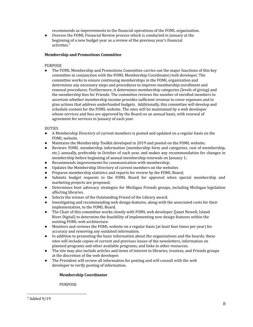recommends as improvements to the financial operations of the FOML organization.

● Oversee the FOML Financial Review process which is conducted in January at the beginning of a new budget year as a review of the previous year's financial activities. 3

# <span id="page-8-0"></span>**Membership and Promotions Committee**

# PURPOSE

• The FOML Membership and Promotions Committee carries out the major functions of this key committee in conjunction with the FOML Membership Coordinator/web developer. The committee works to ensure continuing memberships in the FOML organization and determines any necessary steps and procedures to improve membership enrollment and renewal procedures. Furthermore, it determines membership categories (levels of giving) and the membership fees for Friends. The committee reviews the number of enrolled members to ascertain whether membership income provides sufficient revenue to cover expenses and to plan actions that address underfunded budgets. Additionally, this committee will develop and schedule content for the FOML website. The sites will be maintained by a web developer whose services and fees are approved by the Board on an annual basis, with renewal of agreement for services in January of each year.

# DUTIES

- A Membership Directory of current members is posted and updated on a regular basis on the FOML website.
- Maintains the Membership Toolkit developed in 2019 and posted on the FOML website;
- Reviews FOML membership information (membership form and categories, cost of membership, etc.) annually, preferably in October of each year, and makes any recommendation for changes in membership before beginning of annual membership renewals on January 1;
- Recommends improvements for communication with membership;
- Updates the Membership Directory of current members on the websites
- Prepares membership statistics and reports for review by the FOML Board;
- Submits budget requests to the FOML Board for approval when special membership and marketing projects are proposed;
- Determines best advocacy strategies for Michigan Friends groups, including Michigan legislation affecting libraries.
- Selects the winner of the Outstanding Friend of the Library award.
- Investigating and recommending web design features, along with the associated costs for their implementation, to the FOML Board.
- The Chair of this committee works closely with FOML web developer (Janet Newell, Island River Digital) to determine the feasibility of implementing new design features within the existing FOML web architecture.
- Monitors and reviews the FOML website on a regular basis (at least four times per year) for accuracy and removing any outdated information.
- In addition to presenting the basic information about the organizations and the boards, these sites will include copies of current and previous issues of the newsletters, information on planned programs and other available programs, and links to other resources.
- The site may also include articles and items of interest to libraries, trustees, and Friends groups at the discretion of the web developer.
- The President will review all information for posting and will consult with the web developer to verify posting of information.

# **Membership Coordinator**

PURPOSE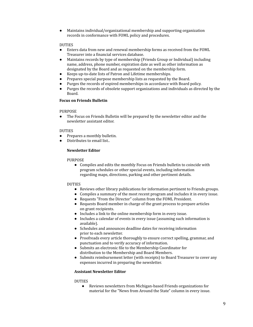● Maintains individual/organizational membership and supporting organization records in conformance with FOML policy and procedures.

#### DUTIES

- Enters data from new and renewal membership forms as received from the FOML Treasurer into a financial services database.
- Maintains records by type of membership (Friends Group or Individual) including name, address, phone number, expiration date as well as other information as designated by the Board and as requested on the membership form.
- Keeps up-to-date lists of Patron and Lifetime memberships.
- Prepares special purpose membership lists as requested by the Board.
- Purges the records of expired memberships in accordance with Board policy.
- Purges the records of obsolete support organizations and individuals as directed by the Board.

# **Focus on Friends Bulletin**

# PURPOSE

● The Focus on Friends Bulletin will be prepared by the newsletter editor and the newsletter assistant editor.

# DUTIES

- Prepares a monthly bulletin.
- Distributes to email list..

# **Newsletter Editor**

# PURPOSE

● Compiles and edits the monthly Focus on Friends bulletin to coincide with program schedules or other special events, including information regarding maps, directions, parking and other pertinent details.

#### DUTIES

- Reviews other library publications for information pertinent to Friends groups.
- Compiles a summary of the most recent program and includes it in every issue.
- Requests "From the Director" column from the FOML President.
- Requests Board member in charge of the grant process to prepare articles on grant recipients.
- Includes a link to the online membership form in every issue.
- Includes a calendar of events in every issue (assuming such information is available).
- Schedules and announces deadline dates for receiving information prior to each newsletter.
- Proofreads every article thoroughly to ensure correct spelling, grammar, and punctuation and to verify accuracy of information.
- Submits an electronic file to the Membership Coordinator for distribution to the Membership and Board Members.
- Submits reimbursement letter (with receipts) to Board Treasurer to cover any expenses incurred in preparing the newsletter.

# **Assistant Newsletter Editor**

#### DUTIES

● Reviews newsletters from Michigan-based Friends organizations for material for the "News from Around the State" column in every issue.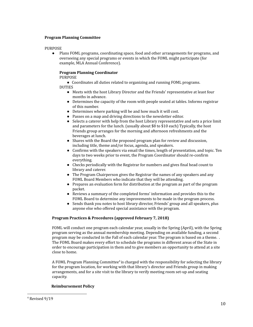# <span id="page-10-0"></span>**Program Planning Committee**

#### PURPOSE

● Plans FOML programs, coordinating space, food and other arrangements for programs, and overseeing any special programs or events in which the FOML might participate (for example, MLA Annual Conference).

# **Program Planning Coordinator**

# PURPOSE

● Coordinates all duties related to organizing and running FOML programs. DUTIES

- Meets with the host Library Director and the Friends' representative at least four months in advance.
- Determines the capacity of the room with people seated at tables. Informs registrar of this number.
- Determines where parking will be and how much it will cost.
- Passes on a map and driving directions to the newsletter editor. ● Selects a caterer with help from the host Library representative and sets a price limit and parameters for the lunch. (usually about \$8 to \$10 each) Typically, the host
- Friends group arranges for the morning and afternoon refreshments and the beverages at lunch.
- Shares with the Board the proposed program plan for review and discussion, including title, theme and/or focus, agenda, and speakers.
- Confirms with the speakers via email the times, length of presentation, and topic. Ten days to two weeks prior to event, the Program Coordinator should re-confirm everything.
- Checks periodically with the Registrar for numbers and gives final head count to library and caterer.
- The Program Chairperson gives the Registrar the names of any speakers and any FOML Board Members who indicate that they will be attending.
- Prepares an evaluation form for distribution at the program as part of the program packet.
- Reviews a summary of the completed forms' information and provides this to the FOML Board to determine any improvements to be made in the program process.
- Sends thank you notes to host library director, Friends' group and all speakers, plus anyone else who offered special assistance with the program.

# <span id="page-10-1"></span>**Program Practices & Procedures (approved February 7, 2018)**

FOML will conduct one program each calendar year, usually in the Spring (April), with the Spring program serving as the annual membership meeting. Depending on available funding, a second program may be conducted in the Fall of each calendar year. The program is based on a theme. . The FOML Board makes every effort to schedule the programs in different areas of the State in order to encourage participation in them and to give members an opportunity to attend at a site close to home.

A FOML Program Planning Committee<sup>4</sup> is charged with the responsibility for selecting the library for the program location, for working with t[hat](https://docs.google.com/document/d/16dXraA1AzacTk2rreT0Bh8sGG1yaULl5YWnYXLQ9SsI/edit#heading=h.3mzq4wv) library's director and Friends group in making arrangements, and for a site visit to the library to verify meeting room set-up and seating capacity.

# **Reimbursement Policy**

<span id="page-10-2"></span><sup>4</sup> Revised 9/19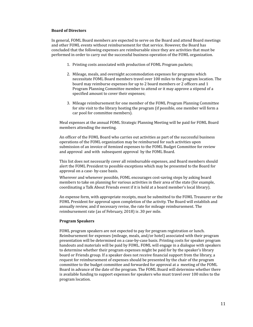#### **Board of Directors**

In general, FOML Board members are expected to serve on the Board and attend Board meetings and other FOML events without reimbursement for that service. However, the Board has concluded that the following expenses are reimbursable since they are activities that must be performed in order to carry out the successful business operation of the FOML organization.

- 1. Printing costs associated with production of FOML Program packets;
- 2. Mileage, meals, and overnight accommodation expenses for programs which necessitate FOML Board members travel over 100 miles to the program location. The board may reimburse expenses for up to 2 board members or 2 officers and 1 Program Planning Committee member to attend or it may approve a stipend of a specified amount to cover their expenses;
- 3. Mileage reimbursement for one member of the FOML Program Planning Committee for site visit to the library hosting the program (if possible, one member will form a car pool for committee members).

Meal expenses at the annual FOML Strategic Planning Meeting will be paid for FOML Board members attending the meeting.

An officer of the FOML Board who carries out activities as part of the successful business operations of the FOML organization may be reimbursed for such activities upon submission of an invoice of itemized expenses to the FOML Budget Committee for review and approval and with subsequent approval by the FOML Board.

This list does not necessarily cover all reimbursable expenses, and Board members should alert the FOML President to possible exceptions which may be presented to the Board for approval on a case- by-case basis.

Wherever and whenever possible, FOML encourages cost-saving steps by asking board members to take on planning for various activities in their area of the state (for example, coordinating a Talk About Friends event if it is held at a board member's local library).

An expense form, with appropriate receipts, must be submitted to the FOML Treasurer or the FOML President for approval upon completion of the activity. The Board will establish and annually review, and if necessary revise, the rate for mileage reimbursement. The reimbursement rate (as of February, 2018) is .30 per mile.

#### **Program Speakers**

FOML program speakers are not expected to pay for program registration or lunch. Reimbursement for expenses (mileage, meals, and/or hotel) associated with their program presentation will be determined on a case-by-case basis. Printing costs for speaker program handouts and materials will be paid by FOML. FOML will engage in a dialogue with speakers to determine whether their program expenses might be paid for by the speaker's library board or Friends group. If a speaker does not receive financial support from the library, a request for reimbursement of expenses should be presented by the chair of the program committee to the budget committee and forwarded for approval at a meeting of the FOML Board in advance of the date of the program. The FOML Board will determine whether there is available funding to support expenses for speakers who must travel over 100 miles to the program location.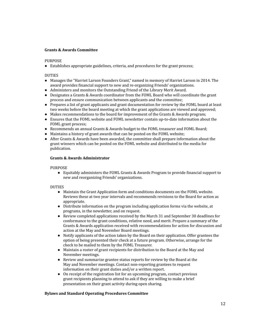# <span id="page-12-0"></span>**Grants & Awards Committee**

#### PURPOSE

● Establishes appropriate guidelines, criteria, and procedures for the grant process;

#### DUTIES

- Manages the "Harriet Larson Founders Grant," named in memory of Harriet Larson in 2014. The award provides financial support to new and re-organizing Friends' organizations.
- Administers and monitors the Outstanding Friend of the Library Merit Award.
- Designates a Grants & Awards coordinator from the FOML Board who will coordinate the grant process and ensure communication between applicants and the committee;
- Prepares a list of grant applicants and grant documentation for review by the FOML board at least two weeks before the board meeting at which the grant applications are viewed and approved;
- Makes recommendations to the board for improvement of the Grants & Awards program;
- Ensures that the FOML website and FOML newsletter contain up-to-date information about the FOML grant process;
- Recommends an annual Grants & Awards budget to the FOML treasurer and FOML Board;
- Maintains a history of grant awards that can be posted on the FOML website;
- After Grants & Awards have been awarded, the committee shall prepare information about the grant winners which can be posted on the FOML website and distributed to the media for publication.

# **Grants & Awards Administrator**

#### PURPOSE

● Equitably administers the FOML Grants & Awards Program to provide financial support to new and reorganizing Friends' organizations.

#### **DUTIES**

- Maintain the Grant Application form and conditions documents on the FOML website. Reviews these at two year intervals and recommends revisions to the Board for action as appropriate.
- Distribute information on the program including application forms via the website, at programs, in the newsletter, and on request.
- Review completed applications received by the March 31 and September 30 deadlines for conformance to the grant conditions, relative need, and merit. Prepare a summary of the Grants & Awards application received with recommendations for action for discussion and action at the May and November Board meetings.
- Notify applicants of the action taken by the Board on their application. Offer grantees the option of being presented their check at a future program. Otherwise, arrange for the check to be mailed to them by the FOML Treasurer.
- Maintain a roster of grant recipients for distribution to the Board at the May and November meetings.
- Review and summarize grantee status reports for review by the Board at the May and November meetings. Contact non-reporting grantees to request information on their grant duties and/or a written report.
- On receipt of the registration list for an upcoming program, contact previous grant recipients planning to attend to ask if they are willing to make a brief presentation on their grant activity during open sharing.

#### <span id="page-12-1"></span>**Bylaws and Standard Operating Procedures Committee**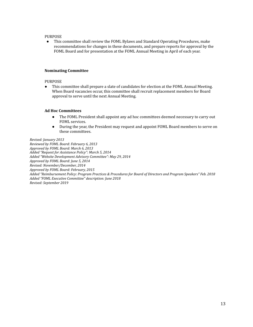PURPOSE

● This committee shall review the FOML Bylaws and Standard Operating Procedures, make recommendations for changes in these documents, and prepare reports for approval by the FOML Board and for presentation at the FOML Annual Meeting in April of each year.

#### <span id="page-13-0"></span>**Nominating Committee**

PURPOSE

● This committee shall prepare a slate of candidates for election at the FOML Annual Meeting. When Board vacancies occur, this committee shall recruit replacement members for Board approval to serve until the next Annual Meeting.

#### <span id="page-13-1"></span>**Ad Hoc Committees**

- The FOML President shall appoint any ad hoc committees deemed necessary to carry out FOML services.
- During the year, the President may request and appoint FOML Board members to serve on these committees.

*Revised: January 2013 Reviewed by FOML Board: February 6, 2013 Approved by FOML Board: March 6, 2013 Added "Request for Assistance Policy": March 5, 2014 Added "Website Development Advisory Committee": May 29, 2014 Approved by FOML Board: June 5, 2014 Revised: November/December, 2014 Approved by FOML Board: February, 2015 Added "Reimbursement Policy: Program Practices & Procedures for Board of Directors and Program Speakers" Feb. 2018 Added "FOML Executive Committee" description: June 2018 Revised: September 2019*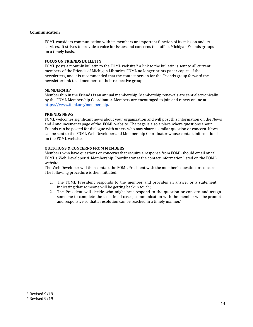#### <span id="page-14-0"></span>**Communication**

FOML considers communication with its members an important function of its mission and its services. It strives to provide a voice for issues and concerns that affect Michigan Friends groups on a timely basis.

#### **FOCUS ON FRIENDS BULLETIN**

FOML posts a monthly bulletin to the FOML website. <sup>5</sup> A link to the bulletin is sent to all current members of the Friends of Michigan Libraries. FOML no longer prints paper copies of the newsletters, and it is recommended that the contact person for the Friends group forward the newsletter link to all members of their respective group.

#### **MEMBERSHIP**

Membership in the Friends is an annual membership. Membership renewals are sent electronically by the FOML Membership Coordinator. Members are encouraged to join and renew online at [https://www.foml.org/membership.](https://www.foml.org/membership)

# **FRIENDS NEWS**

FOML welcomes significant news about your organization and will post this information on the News and Announcements page of the FOML website. The page is also a place where questions about Friends can be posted for dialogue with others who may share a similar question or concern. News can be sent to the FOML Web Developer and Membership Coordinator whose contact information is on the FOML website.

# **QUESTIONS & CONCERNS FROM MEMBERS**

Members who have questions or concerns that require a response from FOML should email or call FOML's Web Developer & Membership Coordinator at the contact information listed on the FOML website.

The Web Developer will then contact the FOML President with the member's question or concern. The following procedure is then initiated:

- 1. The FOML President responds to the member and provides an answer or a statement indicating that someone will be getting back in touch;
- 2. The President will decide who might best respond to the question or concern and assign someone to complete the task. In all cases, communication wi[th](https://docs.google.com/document/d/16dXraA1AzacTk2rreT0Bh8sGG1yaULl5YWnYXLQ9SsI/edit#heading=h.2250f4o) the member will be prompt and responsive so that a resolution can be reached in a timely manner. $^6$

<sup>5</sup> Revised 9/19

 $6$  Revised  $9/19$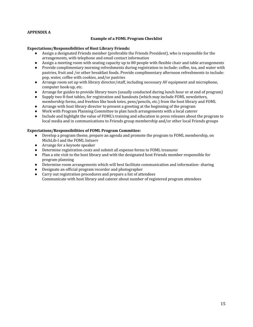# <span id="page-15-0"></span>**APPENDIX A**

# **Example of a FOML Program Checklist**

#### **Expectations/Responsibilities of Host Library Friends:**

- Assign a designated Friends member (preferable the Friends President), who is responsible for the arrangements, with telephone and email contact information
- Assign a meeting room with seating capacity up to 80 people with flexible chair and table arrangements
- Provide complimentary morning refreshments during registration to include: coffee, tea, and water with pastries, fruit and /or other breakfast foods. Provide complimentary afternoon refreshments to include: pop, water, coffee with cookies, and/or pastries
- Arrange room set up with library director/staff, including necessary AV equipment and microphone, computer hook-up, etc.
- Arrange for guides to provide library tours (usually conducted during lunch hour or at end of program)
- Supply two 8-foot tables, for registration and handouts (which may include FOML newsletters, membership forms, and freebies like book totes, pens/pencils, etc.) from the host library and FOML
- Arrange with host library director to present a greeting at the beginning of the program
- Work with Program Planning Committee to plan lunch arrangements with a local caterer
- Include and highlight the value of FOML's training and education in press releases about the program to local media and in communications to Friends group membership and/or other local Friends groups

#### **Expectations/Responsibilities of FOML Program Committee:**

- Develop a program theme, prepare an agenda and promote the program to FOML membership, on MichLib-l and the FOML listserv
- Arrange for a keynote speaker
- Determine registration costs and submit all expense forms to FOML treasurer
- Plan a site visit to the host library and with the designated host Friends member responsible for program planning
- Determine room arrangements which will best facilitate communication and information- sharing
- Designate an official program recorder and photographer
- Carry out registration procedures and prepare a list of attendees Communicate with host library and caterer about number of registered program attendees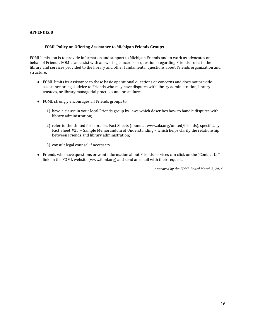# <span id="page-16-0"></span>**APPENDIX B**

#### **FOML Policy on Offering Assistance to Michigan Friends Groups**

FOML's mission is to provide information and support to Michigan Friends and to work as advocates on behalf of Friends. FOML can assist with answering concerns or questions regarding Friends' roles in the library and services provided to the library and other fundamental questions about Friends organization and structure.

- FOML limits its assistance to these basic operational questions or concerns and does not provide assistance or legal advice to Friends who may have disputes with library administration, library trustees, or library managerial practices and procedures.
- FOML strongly encourages all Friends groups to:
	- 1) have a clause in your local Friends group by-laws which describes how to handle disputes with library administration;
	- 2) refer to the United for Libraries Fact Sheets (found at [www.ala.org/united/friends\),](http://www.ala.org/united/friends)) specifically Fact Sheet #25 – Sample Memorandum of Understanding – which helps clarify the relationship between Friends and library administration;
	- 3) consult legal counsel if necessary.
- Friends who have questions or want information about Friends services can click on the "Contact Us" link on the FOML website (www.foml.org) and send an email with their request.

*Approved by the FOML Board March 5, 2014*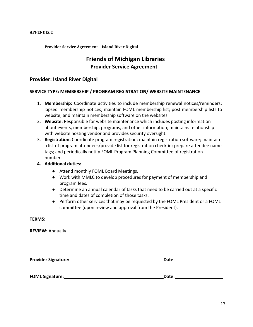# <span id="page-17-0"></span>**APPENDIX C**

**Provider Service Agreement – Island River Digital**

# **Friends of Michigan Libraries Provider Service Agreement**

# **Provider: Island River Digital**

# **SERVICE TYPE: MEMBERSHIP / PROGRAM REGISTRATION/ WEBSITE MAINTENANCE**

- 1. **Membership:** Coordinate activities to include membership renewal notices/reminders; lapsed membership notices; maintain FOML membership list; post membership lists to website; and maintain membership software on the websites.
- 2. **Website:** Responsible for website maintenance which includes posting information about events, membership, programs, and other information; maintains relationship with website hosting vendor and provides security oversight.
- 3. **Registration:** Coordinate program registration; maintain registration software; maintain a list of program attendees/provide list for registration check-in; prepare attendee name tags; and periodically notify FOML Program Planning Committee of registration numbers.
- **4. Additional duties:**
	- Attend monthly FOML Board Meetings.
	- Work with MMLC to develop procedures for payment of membership and program fees.
	- Determine an annual calendar of tasks that need to be carried out at a specific time and dates of completion of those tasks.
	- Perform other services that may be requested by the FOML President or a FOML committee (upon review and approval from the President).

**TERMS:**

**REVIEW:** Annually

| <b>Provider Signature:</b> | Date: |  |
|----------------------------|-------|--|
|                            |       |  |
|                            |       |  |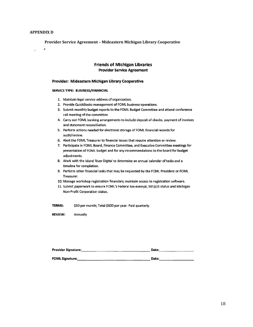#### <span id="page-18-0"></span>**APPENDIX D**

**Provider Service Agreement – Mideastern Michigan Library Cooperative**

ŗ

#### **Friends of Michigan Libraries Provider Service Agreement**

#### Provider: Mideastern Michigan Library Cooperative

#### SERVICE TYPE: BUSINESS/FINANCIAL

- 1. Maintain legal service address of organization.
- 2. Provide QuickBooks management of FOML business operations.
- 3. Submit monthly budget reports to the FOML Budget Committee and attend conference call meeting of the committee.
- 4. Carry out FOML banking arrangements to include deposit of checks, payment of invoices and statement reconciliation.
- 5. Perform actions needed for electronic storage of FOML financial records for audit/review.
- 6. Alert the FOML Treasurer to financial issues that require attention or review.
- 7. Participate in FOML Board, Finance Committee, and Executive Committee meetings for presentation of FOML budget and for any recommendations to the board for budget adjustments.
- 8. Work with the Island River Digital to determine an annual calendar of tasks and a timeline for completion.
- 9. Perform other financial tasks that may be requested by the FOML President or FOML Treasurer.
- 10. Manage workshop registration financials; maintain access to registration software.
- 11. Submit paperwork to ensure FOML's Federal tax-exempt, 501(c)3 status and Michigan Non-Profit Corporation status.

TERMS: \$50 per month; Total \$600 per year. Paid quarterly.

**REVIEW:** Annually

| <b>Provider Signature:</b> | Date: |
|----------------------------|-------|
| <b>FOML Signature:</b>     | Date: |